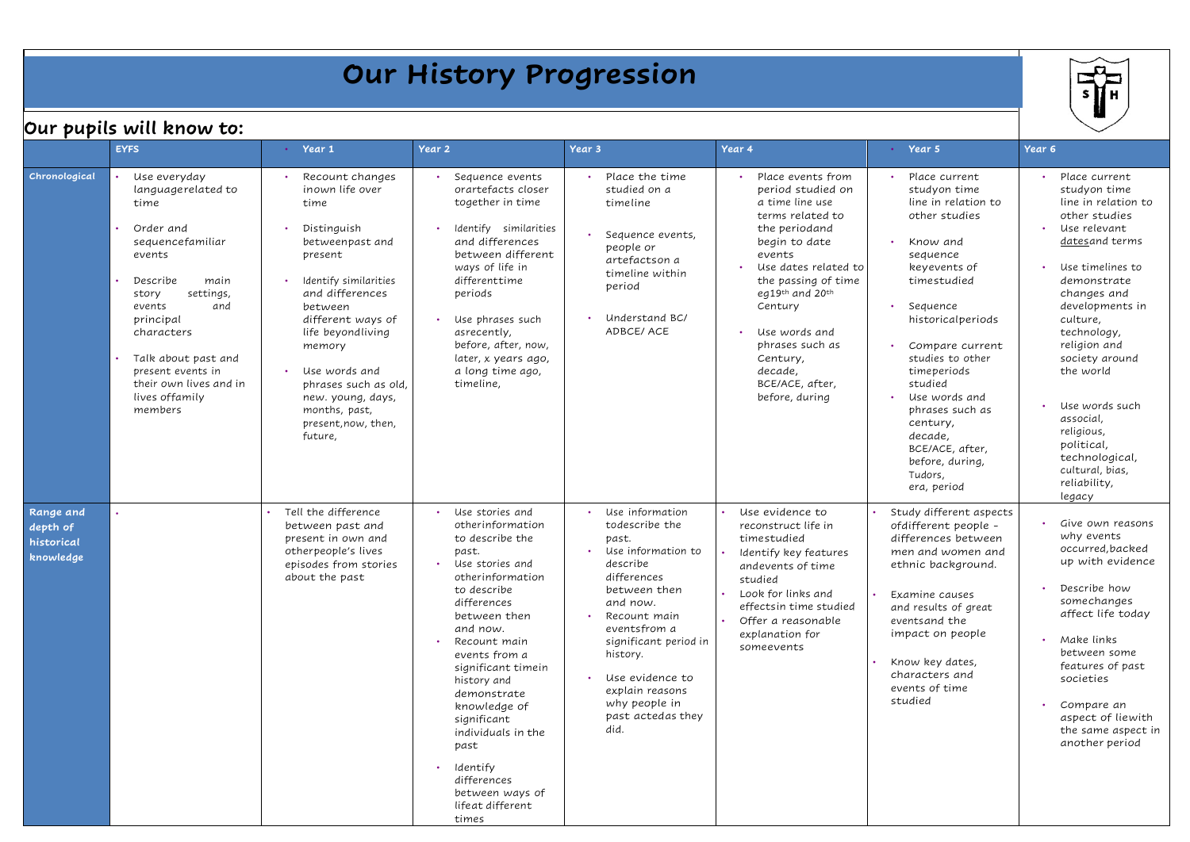| Our History Progression                                                                                      |                                                                                                                                                                                                                                                                                |                                                                                                                                                                                                                                                                                                                                    |                                                                                                                                                                                                                                                                                                                                                                                                 |                                                                                                                                                                                                                                                                                  |                                                                                                                                                                                                                                                                                                        |                                                                                                                                                                                                                                                                                                                                                           |                                                                                                                                                                                                                                                                                                                                                                                                            |  |  |  |
|--------------------------------------------------------------------------------------------------------------|--------------------------------------------------------------------------------------------------------------------------------------------------------------------------------------------------------------------------------------------------------------------------------|------------------------------------------------------------------------------------------------------------------------------------------------------------------------------------------------------------------------------------------------------------------------------------------------------------------------------------|-------------------------------------------------------------------------------------------------------------------------------------------------------------------------------------------------------------------------------------------------------------------------------------------------------------------------------------------------------------------------------------------------|----------------------------------------------------------------------------------------------------------------------------------------------------------------------------------------------------------------------------------------------------------------------------------|--------------------------------------------------------------------------------------------------------------------------------------------------------------------------------------------------------------------------------------------------------------------------------------------------------|-----------------------------------------------------------------------------------------------------------------------------------------------------------------------------------------------------------------------------------------------------------------------------------------------------------------------------------------------------------|------------------------------------------------------------------------------------------------------------------------------------------------------------------------------------------------------------------------------------------------------------------------------------------------------------------------------------------------------------------------------------------------------------|--|--|--|
| Our pupils will know to:<br>Year <sub>2</sub><br>Year 3<br>Year 4<br>$\cdot$ Year 5<br><b>EYFS</b><br>Year 1 |                                                                                                                                                                                                                                                                                |                                                                                                                                                                                                                                                                                                                                    |                                                                                                                                                                                                                                                                                                                                                                                                 |                                                                                                                                                                                                                                                                                  |                                                                                                                                                                                                                                                                                                        |                                                                                                                                                                                                                                                                                                                                                           |                                                                                                                                                                                                                                                                                                                                                                                                            |  |  |  |
| Chronological                                                                                                | Use everyday<br>languagerelated to<br>time<br>Order and<br>sequencefamiliar<br>events<br>Describe<br>main<br>settings,<br>story<br>events<br>and<br>principal<br>characters<br>Talk about past and<br>present events in<br>their own lives and in<br>lives offamily<br>members | Recount changes<br>inown life over<br>time<br>Distinguish<br>betweenpast and<br>present<br>Identify similarities<br>and differences<br>between<br>different ways of<br>life beyondliving<br>memory<br>Use words and<br>$\bullet$ .<br>phrases such as old,<br>new. young, days,<br>months, past,<br>present, now, then,<br>future, | Sequence events<br>orartefacts closer<br>together in time<br>Identify similarities<br>and differences<br>between different<br>ways of life in<br>differenttime<br>periods<br>Use phrases such<br>asrecently,<br>before, after, now,<br>later, x years ago,<br>a long time ago,<br>timeline,                                                                                                     | Place the time<br>studied on a<br>timeline<br>Sequence events,<br>people or<br>artefactson a<br>timeline within<br>period<br>Understand BC/<br>ADBCE/ACE                                                                                                                         | Place events from<br>period studied on<br>a time line use<br>terms related to<br>the periodand<br>begin to date<br>events<br>Use dates related to<br>the passing of time<br>eg19th and 20th<br>Century<br>Use words and<br>phrases such as<br>Century,<br>decade,<br>BCE/ACE, after,<br>before, during | Place current<br>studyon time<br>line in relation to<br>other studies<br>Know and<br>sequence<br>keyevents of<br>timestudied<br>Sequence<br>historicalperiods<br>Compare current<br>studies to other<br>timeperiods<br>studied<br>Use words and<br>phrases such as<br>century,<br>decade,<br>BCE/ACE, after,<br>before, during,<br>Tudors,<br>era, period | Place current<br>studyon time<br>line in relation to<br>other studies<br>Use relevant<br>$\bullet$<br>datesand terms<br>Use timelines to<br>$\bullet$<br>demonstrate<br>changes and<br>developments in<br>culture,<br>technology,<br>religion and<br>society around<br>the world<br>Use words such<br>associal,<br>religious,<br>political,<br>technological,<br>cultural, bias,<br>reliability,<br>legacy |  |  |  |
| Range and<br>depth of<br>historical<br>knowledge                                                             |                                                                                                                                                                                                                                                                                | Tell the difference<br>between past and<br>present in own and<br>otherpeople's lives<br>episodes from stories<br>about the past                                                                                                                                                                                                    | Use stories and<br>otherinformation<br>to describe the<br>past.<br>• Use stories and<br>otherinformation<br>to describe<br>differences<br>between then<br>and now.<br>Recount main<br>events from a<br>significant timein<br>history and<br>demonstrate<br>knowledge of<br>significant<br>individuals in the<br>past<br>Identify<br>differences<br>between ways of<br>lifeat different<br>times | Use information<br>todescribe the<br>past.<br>Use information to<br>describe<br>differences<br>between then<br>and now.<br>Recount main<br>eventsfrom a<br>significant period in<br>history.<br>Use evidence to<br>explain reasons<br>why people in<br>past actedas they<br>did. | Use evidence to<br>reconstruct life in<br>timestudied<br>Identify key features<br>andevents of time<br>studied<br>Look for links and<br>effectsin time studied<br>Offer a reasonable<br>explanation for<br>someevents                                                                                  | Study different aspects<br>ofdifferent people -<br>differences between<br>men and women and<br>ethnic background.<br>Examine causes<br>and results of great<br>events and the<br>impact on people<br>Know key dates,<br>characters and<br>events of time<br>studied                                                                                       | Give own reasons<br>why events<br>occurred, backed<br>up with evidence<br>Describe how<br>$\bullet$<br>somechanges<br>affect life today<br>Make links<br>$\bullet$<br>between some<br>features of past<br>societies<br>Compare an<br>$\bullet$<br>aspect of liewith<br>the same aspect in<br>another period                                                                                                |  |  |  |

## **Our History Progression**